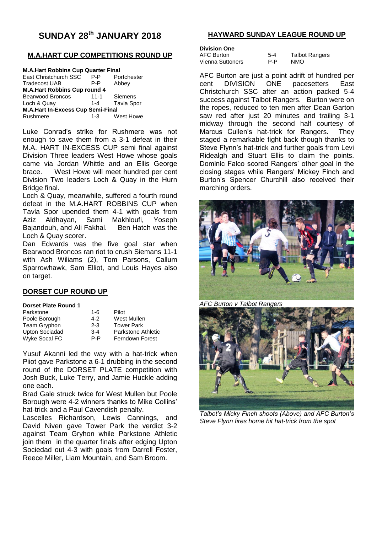# **SUNDAY 28th JANUARY 2018**

# **M.A.HART CUP COMPETITIONS ROUND UP**

| <b>M.A.Hart Robbins Cup Quarter Final</b> |          |                   |  |  |  |  |  |  |
|-------------------------------------------|----------|-------------------|--|--|--|--|--|--|
| East Christchurch SSC                     | P-P      | Portchester       |  |  |  |  |  |  |
| <b>Tradecost UAB</b>                      | P-P      | Abbey             |  |  |  |  |  |  |
| <b>M.A.Hart Robbins Cup round 4</b>       |          |                   |  |  |  |  |  |  |
| <b>Bearwood Broncos</b>                   | $11 - 1$ | Siemens           |  |  |  |  |  |  |
| Loch & Quay                               | $1 - 4$  | <b>Tavla Spor</b> |  |  |  |  |  |  |
| M.A.Hart In-Excess Cup Semi-Final         |          |                   |  |  |  |  |  |  |
| Rushmere                                  | $1 - 3$  | West Howe         |  |  |  |  |  |  |

Luke Conrad's strike for Rushmere was not enough to save them from a 3-1 defeat in their M.A. HART IN-EXCESS CUP semi final against Division Three leaders West Howe whose goals came via Jordan Whittle and an Ellis George brace. West Howe will meet hundred per cent Division Two leaders Loch & Quay in the Hurn Bridge final.

Loch & Quay, meanwhile, suffered a fourth round defeat in the M.A.HART ROBBINS CUP when Tavla Spor upended them 4-1 with goals from Aziz Aldhayan, Sami Makhloufi, Yoseph Bajandouh, and Ali Fakhal. Ben Hatch was the Loch & Quay scorer.

Dan Edwards was the five goal star when Bearwood Broncos ran riot to crush Siemans 11-1 with Ash Wiliams (2), Tom Parsons, Callum Sparrowhawk, Sam Elliot, and Louis Hayes also on target.

## **DORSET CUP ROUND UP**

### **Dorset Plate Round 1**

| Parkstone      | $1 - 6$ | Pilot                  |
|----------------|---------|------------------------|
| Poole Borough  | $4-2$   | West Mullen            |
| Team Gryphon   | $2 - 3$ | <b>Tower Park</b>      |
| Upton Sociadad | $3 - 4$ | Parkstone Athletic     |
| Wyke Socal FC  | P-P     | <b>Ferndown Forest</b> |

Yusuf Akanni led the way with a hat-trick when Piiot gave Parkstone a 6-1 drubbing in the second round of the DORSET PLATE competition with Josh Buck, Luke Terry, and Jamie Huckle adding one each.

Brad Gale struck twice for West Mullen but Poole Borough were 4-2 winners thanks to Mike Collins' hat-trick and a Paul Cavendish penalty.

Lascelles Richardson, Lewis Cannings, and David Niven gave Tower Park the verdict 3-2 against Team Gryhon while Parkstone Athletic join them in the quarter finals after edging Upton Sociedad out 4-3 with goals from Darrell Foster, Reece Miller, Liam Mountain, and Sam Broom.

## **HAYWARD SUNDAY LEAGUE ROUND UP**

#### **Division One**

| AFC Burton       | $5 - 4$ | <b>Talbot Rangers</b> |
|------------------|---------|-----------------------|
| Vienna Suttoners | P-P     | <b>NMO</b>            |

AFC Burton are just a point adrift of hundred per cent DIVISION ONE pacesetters East Christchurch SSC after an action packed 5-4 success against Talbot Rangers. Burton were on the ropes, reduced to ten men after Dean Garton saw red after just 20 minutes and trailing 3-1 midway through the second half courtesy of Marcus Cullen's hat-trick for Rangers. They staged a remarkable fight back though thanks to Steve Flynn's hat-trick and further goals from Levi Ridealgh and Stuart Ellis to claim the points. Dominic Falco scored Rangers' other goal in the closing stages while Rangers' Mickey Finch and Burton's Spencer Churchill also received their marching orders.



*AFC Burton v Talbot Rangers*



*Talbot's Micky Finch shoots (Above) and AFC Burton's Steve Flynn fires home hit hat-trick from the spot*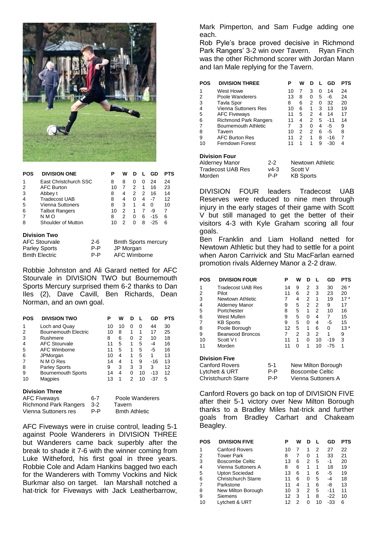

| POS | <b>DIVISION ONE</b>     | Р  | w | D | $\mathbf{L}$ | GD    | PTS |
|-----|-------------------------|----|---|---|--------------|-------|-----|
|     | East Christchurch SSC   | 8  | 8 | O | 0            | 24    | 24  |
| 2   | <b>AFC Burton</b>       | 10 |   | 2 | 1            | 16    | 23  |
| 3   | Abbey t                 | 8  | 4 | 2 | 2            | 16    | 14  |
| 4   | <b>Tradecost UAB</b>    | 8  | 4 | 0 | 4            | -7    | 12  |
| 5   | <b>Vienna Suttoners</b> | 8  | 3 | 1 | 4            | ∩     | 10  |
| 6   | <b>Talbot Rangers</b>   | 10 | 2 |   |              | -9    |     |
|     | N M O                   | 8  | 2 | 0 | 6            | $-15$ | 6   |
| 8   | Shoulder of Mutton      |    |   | U | 8            | -25   | 6   |
|     |                         |    |   |   |              |       |     |

#### **Division Two**

| <b>AFC Stourvale</b> | 2-6 | <b>Bmth Sports mercury</b> |
|----------------------|-----|----------------------------|
| <b>Parley Sports</b> | P-P | JP Morgan                  |
| <b>Bmth Electric</b> | P-P | AFC Wimborne               |

Robbie Johnston and Ali Garard netted for AFC Stourvale in DIVISION TWO but Bournemouth Sports Mercury surprised them 6-2 thanks to Dan Iles (2), Dave Cavill, Ben Richards, Dean Norman, and an own goal.

| <b>POS</b>     | <b>DIVISION TWO</b>         | P  | W  |   |    | GD    | <b>PTS</b> |
|----------------|-----------------------------|----|----|---|----|-------|------------|
| 1              | Loch and Quay               | 10 | 10 | 0 | 0  | 44    | 30         |
| 2              | <b>Bournemouth Electric</b> | 10 | 8  | 1 | 1  | 17    | 25         |
| 3              | Rushmere                    | 8  | 6  | 0 | 2  | 10    | 18         |
| $\overline{4}$ | <b>AFC Stourvale</b>        | 11 | 5  | 1 | 5  | -4    | 16         |
| 5              | <b>AFC Wimborne</b>         | 11 | 5  | 1 | 5  | -5    | 16         |
| 6              | JPMorgan                    | 10 | 4  | 1 | 5  | 1     | 13         |
| 7              | N M O Res                   | 14 | 4  | 1 | 9  | $-16$ | 13         |
| 8              | <b>Parley Sports</b>        | 9  | 3  | 3 | 3  | 3     | 12         |
| 9              | <b>Bournemouth Sports</b>   | 14 | 4  | 0 | 10 | -13   | 12         |
| 10             | Magpies                     | 13 | 1  | 2 | 10 | $-37$ | 5          |
|                |                             |    |    |   |    |       |            |

## **Division Three**

| AFC Fiveways          | հ-7   | Poole Wanderers      |
|-----------------------|-------|----------------------|
| Richmond Park Rangers | $3-2$ | Tavern               |
| Vienna Suttoners res  | P-P   | <b>Bmth Athletic</b> |

AFC Fiveways were in cruise control, leading 5-1 against Poole Wanderers in DIVISION THREE but Wanderers came back superbly after the break to shade it 7-6 with the winner coming from Luke Witheford, his first goal in three years. Robbie Cole and Adam Hankins bagged two each for the Wanderers with Tommy Vockins and Nick Burkmar also on target. Ian Marshall notched a hat-trick for Fiveways with Jack Leatherbarrow,

Mark Pimperton, and Sam Fudge adding one each.

Rob Pyle's brace proved decisive in Richmond Park Rangers' 3-2 win over Tavern. Ryan Finch was the other Richmond scorer with Jordan Mann and Ian Male replying for the Tavern.

| POS | <b>DIVISION THREE</b>        | Р  | w |   |   | GD    | PTS |
|-----|------------------------------|----|---|---|---|-------|-----|
|     | West Howe                    | 10 | 7 | 3 | 0 | 14    | 24  |
| 2   | Poole Wanderers              | 13 | 8 | 0 | 5 | -6    | 24  |
| 3   | Tavla Spor                   | 8  | 6 | 2 | 0 | 32    | 20  |
| 4   | Vienna Suttoners Res         | 10 | 6 | 1 | 3 | 13    | 19  |
| 5   | <b>AFC Fiveways</b>          | 11 | 5 | 2 | 4 | 14    | 17  |
| 6   | <b>Richmond Park Rangers</b> | 11 | 4 | 2 | 5 | $-11$ | 14  |
|     | Bournemouth Athletic         |    | 3 | 0 | 4 | -5    | 9   |
| 8   | Tavern                       | 10 | 2 | 2 | 6 | -5    | 8   |
| 9   | <b>AFC Burton Res</b>        | 11 | 2 | 1 | 8 | -16   | 7   |
| 10  | <b>Ferndown Forest</b>       | 11 | 1 | 1 | 9 | -30   | 4   |

| $2 - 2$  | Newtown Athletic |
|----------|------------------|
| $v4 - 3$ | Scott V          |
| P-P      | <b>KB Sports</b> |
|          |                  |

DIVISION FOUR leaders Tradecost UAB Reserves were reduced to nine men through injury in the early stages of their game with Scott V but still managed to get the better of their visitors 4-3 with Kyle Graham scoring all four goals.

Ben Franklin and Liam Holland netted for Newtown Athletic but they had to settle for a point when Aaron Carrivick and Stu MacFarlan earned promotion rivals Alderney Manor a 2-2 draw.

| POS                                                                                                                                                 | <b>DIVISION FOUR</b>       |     | Р  | W | D |    | GD  | PTS   |
|-----------------------------------------------------------------------------------------------------------------------------------------------------|----------------------------|-----|----|---|---|----|-----|-------|
| 1                                                                                                                                                   | <b>Tradecost UAB Res</b>   |     | 14 | 9 | 2 | 3  | 30  | $26*$ |
| 2                                                                                                                                                   | Pilot                      |     | 11 | 6 | 2 | 3  | 23  | 20    |
| 3                                                                                                                                                   | Newtown Athletic           |     | 7  | 4 | 2 | 1  | 19  | $17*$ |
| 4                                                                                                                                                   | <b>Alderney Manor</b>      |     | 9  | 5 | 2 | 2  | 9   | 17    |
| 5                                                                                                                                                   | Portchester                |     | 8  | 5 | 1 | 2  | 10  | 16    |
| 6                                                                                                                                                   | West Mullen                |     | 9  | 5 | 0 | 4  | 7   | 15    |
| 7                                                                                                                                                   | <b>KB Sports</b>           |     | 9  | 5 | 0 | 4  | -5  | 15    |
| 8                                                                                                                                                   | Poole Borough              |     | 12 | 5 | 1 | 6  | 0   | $13*$ |
| 9                                                                                                                                                   | <b>Bearwood Broncos</b>    |     | 7  | 2 | 3 | 2  | 1   | 9     |
| 10                                                                                                                                                  | Scott V <sub>t</sub>       |     | 11 | 1 | 0 | 10 | -19 | 3     |
| 11                                                                                                                                                  | Morden                     |     | 11 | 0 | 1 | 10 | -75 | 1     |
| <b>Division Five</b><br><b>Canford Rovers</b><br>New Milton Borough<br>5-1<br><b>Boscombe Celtic</b><br>P-P<br>Lytchett & URT<br>Vienna Suttoners A |                            |     |    |   |   |    |     |       |
|                                                                                                                                                     | <b>Christchurch Starre</b> | P-P |    |   |   |    |     |       |

Canford Rovers go back on top of DIVISION FIVE after their 5-1 victory over New Milton Borough thanks to a Bradley Miles hat-trick and further goals from Bradley Carhart and Chakeam Beagley.

| <b>DIVISION FIVE</b>       | Р  | w |   |    | GD    | PTS |
|----------------------------|----|---|---|----|-------|-----|
| <b>Canford Rovers</b>      | 10 |   | 1 | 2  | 27    | 22  |
| Tower Park                 | 8  | 7 | Ω | 1  | 33    | 21  |
| <b>Boscombe Celtic</b>     | 13 | 6 | 2 | 5  | -1    | 20  |
| Vienna Suttoners A         | 8  | 6 |   |    | 18    | 19  |
| <b>Upton Sociedad</b>      | 13 | 6 | 1 | 6  | -5    | 19  |
| <b>Christchurch Starre</b> | 11 | 6 | 0 | 5  | -4    | 18  |
| Parkstone                  | 11 | 4 | 1 | 6  | -8    | 13  |
| New Milton Borough         | 10 | 3 | 2 | 5  | $-11$ | 11  |
| Siemens                    | 12 | 3 | 1 | 8  | $-22$ | 10  |
| Lytchett & URT             | 12 |   |   | 10 | -33   | 6   |
|                            |    |   |   |    |       |     |